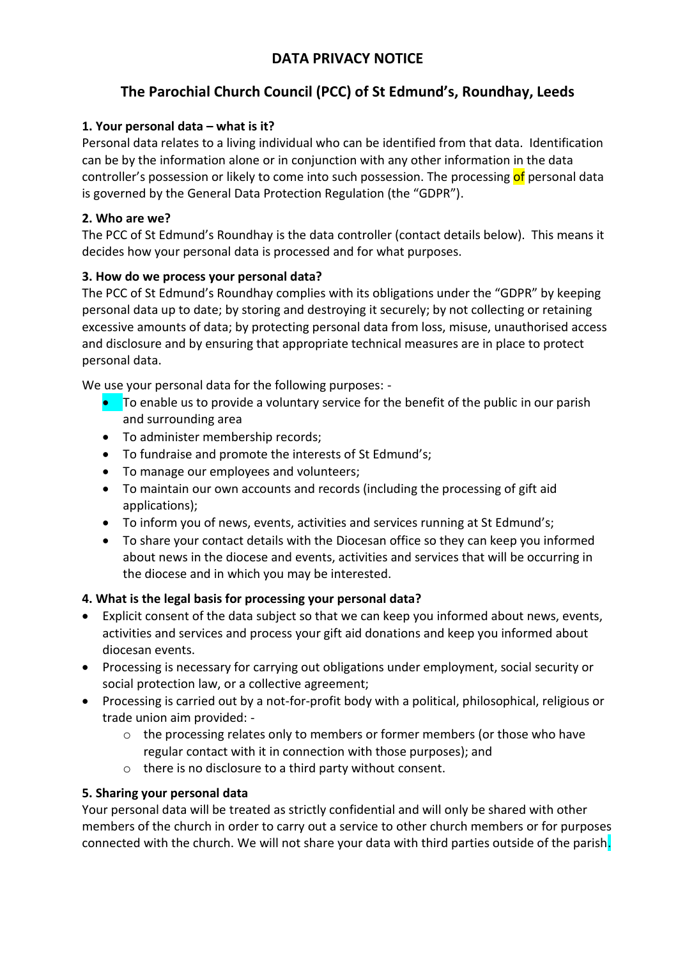## **DATA PRIVACY NOTICE**

# **The Parochial Church Council (PCC) of St Edmund's, Roundhay, Leeds**

## **1. Your personal data – what is it?**

Personal data relates to a living individual who can be identified from that data. Identification can be by the information alone or in conjunction with any other information in the data controller's possession or likely to come into such possession. The processing of personal data is governed by the General Data Protection Regulation (the "GDPR").

## **2. Who are we?**

The PCC of St Edmund's Roundhay is the data controller (contact details below). This means it decides how your personal data is processed and for what purposes.

## **3. How do we process your personal data?**

The PCC of St Edmund's Roundhay complies with its obligations under the "GDPR" by keeping personal data up to date; by storing and destroying it securely; by not collecting or retaining excessive amounts of data; by protecting personal data from loss, misuse, unauthorised access and disclosure and by ensuring that appropriate technical measures are in place to protect personal data.

We use your personal data for the following purposes: -

- **•** To enable us to provide a voluntary service for the benefit of the public in our parish and surrounding area
- To administer membership records;
- To fundraise and promote the interests of St Edmund's;
- To manage our employees and volunteers;
- To maintain our own accounts and records (including the processing of gift aid applications);
- To inform you of news, events, activities and services running at St Edmund's;
- To share your contact details with the Diocesan office so they can keep you informed about news in the diocese and events, activities and services that will be occurring in the diocese and in which you may be interested.

## **4. What is the legal basis for processing your personal data?**

- Explicit consent of the data subject so that we can keep you informed about news, events, activities and services and process your gift aid donations and keep you informed about diocesan events.
- Processing is necessary for carrying out obligations under employment, social security or social protection law, or a collective agreement;
- Processing is carried out by a not-for-profit body with a political, philosophical, religious or trade union aim provided: -
	- $\circ$  the processing relates only to members or former members (or those who have regular contact with it in connection with those purposes); and
	- o there is no disclosure to a third party without consent.

## **5. Sharing your personal data**

Your personal data will be treated as strictly confidential and will only be shared with other members of the church in order to carry out a service to other church members or for purposes connected with the church. We will not share your data with third parties outside of the parish.